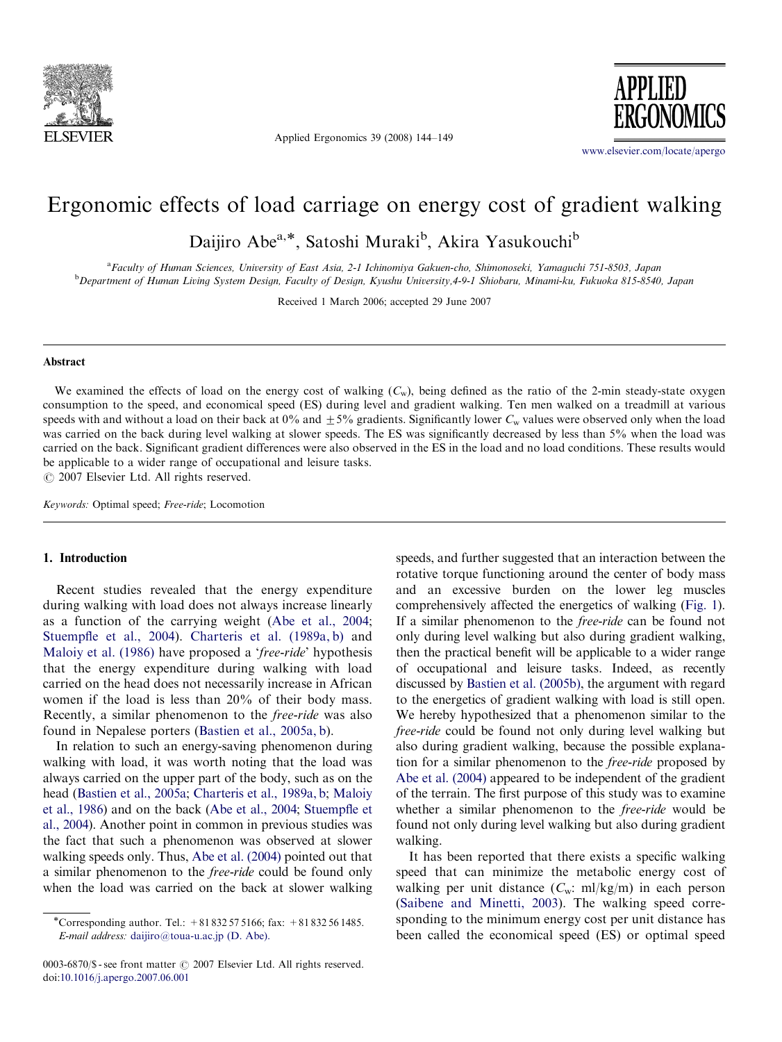

Applied Ergonomics 39 (2008) 144–149



<www.elsevier.com/locate/apergo>

# Ergonomic effects of load carriage on energy cost of gradient walking

Daijiro Abe<sup>a,\*</sup>, Satoshi Muraki<sup>b</sup>, Akira Yasukouchi<sup>b</sup>

a Faculty of Human Sciences, University of East Asia, 2-1 Ichinomiya Gakuen-cho, Shimonoseki, Yamaguchi 751-8503, Japan b Department of Human Living System Design, Faculty of Design, Kyushu University,4-9-1 Shiobaru, Minami-ku, Fukuoka 815-8540, Japan

Received 1 March 2006; accepted 29 June 2007

#### Abstract

We examined the effects of load on the energy cost of walking  $(C_w)$ , being defined as the ratio of the 2-min steady-state oxygen consumption to the speed, and economical speed (ES) during level and gradient walking. Ten men walked on a treadmill at various speeds with and without a load on their back at 0% and  $\pm 5%$  gradients. Significantly lower  $C_w$  values were observed only when the load was carried on the back during level walking at slower speeds. The ES was significantly decreased by less than 5% when the load was carried on the back. Significant gradient differences were also observed in the ES in the load and no load conditions. These results would be applicable to a wider range of occupational and leisure tasks.

 $C$  2007 Elsevier Ltd. All rights reserved.

Keywords: Optimal speed; Free-ride; Locomotion

#### 1. Introduction

Recent studies revealed that the energy expenditure during walking with load does not always increase linearly as a function of the carrying weight [\(Abe et al., 2004](#page--1-0); [Stuempfle et al., 2004](#page--1-0)). [Charteris et al. \(1989a, b\)](#page--1-0) and [Maloiy et al. \(1986\)](#page--1-0) have proposed a 'free-ride' hypothesis that the energy expenditure during walking with load carried on the head does not necessarily increase in African women if the load is less than 20% of their body mass. Recently, a similar phenomenon to the free-ride was also found in Nepalese porters ([Bastien et al., 2005a, b\)](#page--1-0).

In relation to such an energy-saving phenomenon during walking with load, it was worth noting that the load was always carried on the upper part of the body, such as on the head ([Bastien et al., 2005a;](#page--1-0) [Charteris et al., 1989a, b](#page--1-0); [Maloiy](#page--1-0) [et al., 1986](#page--1-0)) and on the back [\(Abe et al., 2004](#page--1-0); [Stuempfle et](#page--1-0) [al., 2004](#page--1-0)). Another point in common in previous studies was the fact that such a phenomenon was observed at slower walking speeds only. Thus, [Abe et al. \(2004\)](#page--1-0) pointed out that a similar phenomenon to the free-ride could be found only when the load was carried on the back at slower walking

0003-6870/\$ - see front matter  $\odot$  2007 Elsevier Ltd. All rights reserved. doi:[10.1016/j.apergo.2007.06.001](dx.doi.org/10.1016/j.apergo.2007.06.001)

speeds, and further suggested that an interaction between the rotative torque functioning around the center of body mass and an excessive burden on the lower leg muscles comprehensively affected the energetics of walking [\(Fig. 1\)](#page-1-0). If a similar phenomenon to the free-ride can be found not only during level walking but also during gradient walking, then the practical benefit will be applicable to a wider range of occupational and leisure tasks. Indeed, as recently discussed by [Bastien et al. \(2005b\)](#page--1-0), the argument with regard to the energetics of gradient walking with load is still open. We hereby hypothesized that a phenomenon similar to the free-ride could be found not only during level walking but also during gradient walking, because the possible explanation for a similar phenomenon to the free-ride proposed by [Abe et al. \(2004\)](#page--1-0) appeared to be independent of the gradient of the terrain. The first purpose of this study was to examine whether a similar phenomenon to the free-ride would be found not only during level walking but also during gradient walking.

It has been reported that there exists a specific walking speed that can minimize the metabolic energy cost of walking per unit distance  $(C_w: ml/kg/m)$  in each person [\(Saibene and Minetti, 2003](#page--1-0)). The walking speed corresponding to the minimum energy cost per unit distance has been called the economical speed (ES) or optimal speed

<sup>\*</sup>Corresponding author. Tel.:  $+81832575166$ ; fax:  $+81832561485$ . E-mail address: [daijiro@toua-u.ac.jp \(D. Abe\).](mailto:daijiro@toua-u.ac.jp)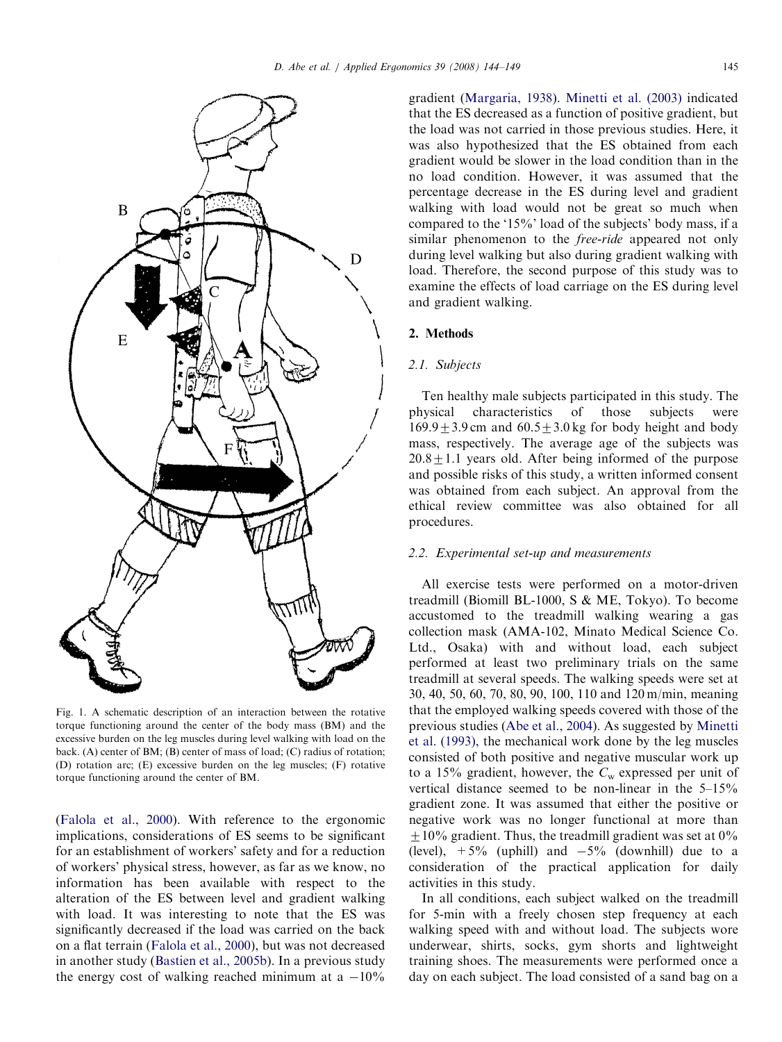<span id="page-1-0"></span>

Fig. 1. A schematic description of an interaction between the rotative torque functioning around the center of the body mass (BM) and the excessive burden on the leg muscles during level walking with load on the back. (A) center of BM; (B) center of mass of load; (C) radius of rotation; (D) rotation arc; (E) excessive burden on the leg muscles; (F) rotative torque functioning around the center of BM.

([Falola et al., 2000\)](#page--1-0). With reference to the ergonomic implications, considerations of ES seems to be significant for an establishment of workers' safety and for a reduction of workers' physical stress, however, as far as we know, no information has been available with respect to the alteration of the ES between level and gradient walking with load. It was interesting to note that the ES was significantly decreased if the load was carried on the back on a flat terrain ([Falola et al., 2000](#page--1-0)), but was not decreased in another study [\(Bastien et al., 2005b](#page--1-0)). In a previous study the energy cost of walking reached minimum at a  $-10\%$ 

gradient [\(Margaria, 1938\)](#page--1-0). [Minetti et al. \(2003\)](#page--1-0) indicated that the ES decreased as a function of positive gradient, but the load was not carried in those previous studies. Here, it was also hypothesized that the ES obtained from each gradient would be slower in the load condition than in the no load condition. However, it was assumed that the percentage decrease in the ES during level and gradient walking with load would not be great so much when compared to the '15%' load of the subjects' body mass, if a similar phenomenon to the free-ride appeared not only during level walking but also during gradient walking with load. Therefore, the second purpose of this study was to examine the effects of load carriage on the ES during level and gradient walking.

## 2. Methods

#### 2.1. Subjects

Ten healthy male subjects participated in this study. The physical characteristics of those subjects were  $169.9 \pm 3.9$  cm and  $60.5 \pm 3.0$  kg for body height and body mass, respectively. The average age of the subjects was  $20.8 \pm 1.1$  years old. After being informed of the purpose and possible risks of this study, a written informed consent was obtained from each subject. An approval from the ethical review committee was also obtained for all procedures.

## 2.2. Experimental set-up and measurements

All exercise tests were performed on a motor-driven treadmill (Biomill BL-1000, S & ME, Tokyo). To become accustomed to the treadmill walking wearing a gas collection mask (AMA-102, Minato Medical Science Co. Ltd., Osaka) with and without load, each subject performed at least two preliminary trials on the same treadmill at several speeds. The walking speeds were set at 30, 40, 50, 60, 70, 80, 90, 100, 110 and 120 m/min, meaning that the employed walking speeds covered with those of the previous studies [\(Abe et al., 2004\)](#page--1-0). As suggested by [Minetti](#page--1-0) [et al. \(1993\)](#page--1-0), the mechanical work done by the leg muscles consisted of both positive and negative muscular work up to a 15% gradient, however, the  $C_w$  expressed per unit of vertical distance seemed to be non-linear in the 5–15% gradient zone. It was assumed that either the positive or negative work was no longer functional at more than  $\pm 10\%$  gradient. Thus, the treadmill gradient was set at 0% (level),  $+5\%$  (uphill) and  $-5\%$  (downhill) due to a consideration of the practical application for daily activities in this study.

In all conditions, each subject walked on the treadmill for 5-min with a freely chosen step frequency at each walking speed with and without load. The subjects wore underwear, shirts, socks, gym shorts and lightweight training shoes. The measurements were performed once a day on each subject. The load consisted of a sand bag on a